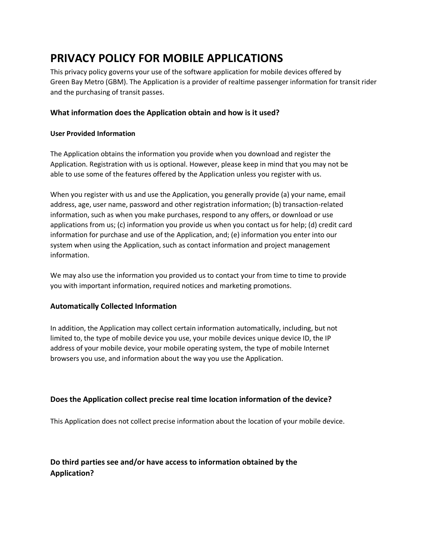# **PRIVACY POLICY FOR MOBILE APPLICATIONS**

This privacy policy governs your use of the software application for mobile devices offered by Green Bay Metro (GBM). The Application is a provider of realtime passenger information for transit rider and the purchasing of transit passes.

### **What information does the Application obtain and how is it used?**

#### **User Provided Information**

The Application obtains the information you provide when you download and register the Application. Registration with us is optional. However, please keep in mind that you may not be able to use some of the features offered by the Application unless you register with us.

When you register with us and use the Application, you generally provide (a) your name, email address, age, user name, password and other registration information; (b) transaction-related information, such as when you make purchases, respond to any offers, or download or use applications from us; (c) information you provide us when you contact us for help; (d) credit card information for purchase and use of the Application, and; (e) information you enter into our system when using the Application, such as contact information and project management information.

We may also use the information you provided us to contact your from time to time to provide you with important information, required notices and marketing promotions.

#### **Automatically Collected Information**

In addition, the Application may collect certain information automatically, including, but not limited to, the type of mobile device you use, your mobile devices unique device ID, the IP address of your mobile device, your mobile operating system, the type of mobile Internet browsers you use, and information about the way you use the Application.

#### **Does the Application collect precise real time location information of the device?**

This Application does not collect precise information about the location of your mobile device.

# **Do third parties see and/or have access to information obtained by the Application?**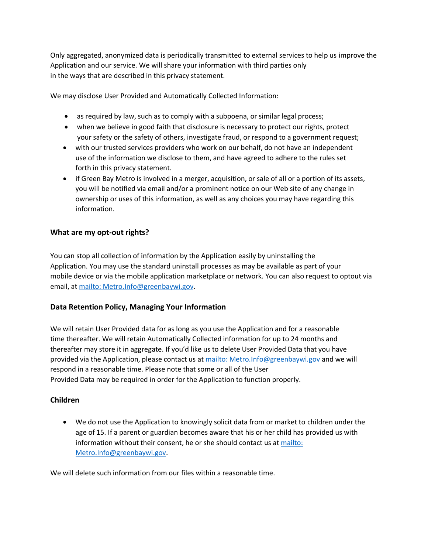Only aggregated, anonymized data is periodically transmitted to external services to help us improve the Application and our service. We will share your information with third parties only in the ways that are described in this privacy statement.

We may disclose User Provided and Automatically Collected Information:

- as required by law, such as to comply with a subpoena, or similar legal process;
- when we believe in good faith that disclosure is necessary to protect our rights, protect your safety or the safety of others, investigate fraud, or respond to a government request;
- with our trusted services providers who work on our behalf, do not have an independent use of the information we disclose to them, and have agreed to adhere to the rules set forth in this privacy statement.
- if Green Bay Metro is involved in a merger, acquisition, or sale of all or a portion of its assets, you will be notified via email and/or a prominent notice on our Web site of any change in ownership or uses of this information, as well as any choices you may have regarding this information.

## **What are my opt-out rights?**

You can stop all collection of information by the Application easily by uninstalling the Application. You may use the standard uninstall processes as may be available as part of your mobile device or via the mobile application marketplace or network. You can also request to optout via email, at [mailto: Metro.Info@greenbaywi.gov.](mailto:Metro.Info@greenbaywi.gov)

#### **Data Retention Policy, Managing Your Information**

We will retain User Provided data for as long as you use the Application and for a reasonable time thereafter. We will retain Automatically Collected information for up to 24 months and thereafter may store it in aggregate. If you'd like us to delete User Provided Data that you have provided via the Application, please contact us at [mailto: Metro.Info@greenbaywi.gov](mailto:Metro.Info@greenbaywi.gov) and we will respond in a reasonable time. Please note that some or all of the User Provided Data may be required in order for the Application to function properly.

#### **Children**

 We do not use the Application to knowingly solicit data from or market to children under the age of 15. If a parent or guardian becomes aware that his or her child has provided us with information without their consent, he or she should contact us at [mailto:](mailto:Metro.Info@greenbaywi.gov)  [Metro.Info@greenbaywi.gov.](mailto:Metro.Info@greenbaywi.gov)

We will delete such information from our files within a reasonable time.